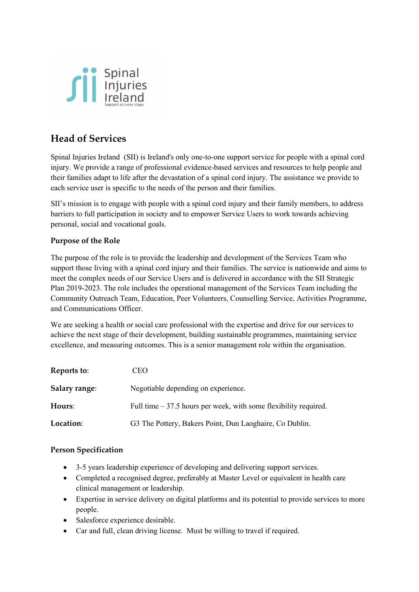

## **Head of Services**

Spinal Injuries Ireland (SII) is Ireland's only one-to-one support service for people with a spinal cord injury. We provide a range of professional evidence-based services and resources to help people and their families adapt to life after the devastation of a spinal cord injury. The assistance we provide to each service user is specific to the needs of the person and their families.

SII's mission is to engage with people with a spinal cord injury and their family members, to address barriers to full participation in society and to empower Service Users to work towards achieving personal, social and vocational goals.

#### **Purpose of the Role**

The purpose of the role is to provide the leadership and development of the Services Team who support those living with a spinal cord injury and their families. The service is nationwide and aims to meet the complex needs of our Service Users and is delivered in accordance with the SII Strategic Plan 2019-2023. The role includes the operational management of the Services Team including the Community Outreach Team, Education, Peer Volunteers, Counselling Service, Activities Programme, and Communications Officer.

We are seeking a health or social care professional with the expertise and drive for our services to achieve the next stage of their development, building sustainable programmes, maintaining service excellence, and measuring outcomes. This is a senior management role within the organisation.

| Reports to:   | CEO                                                               |
|---------------|-------------------------------------------------------------------|
| Salary range: | Negotiable depending on experience.                               |
| Hours:        | Full time $-37.5$ hours per week, with some flexibility required. |
| Location:     | G3 The Pottery, Bakers Point, Dun Laoghaire, Co Dublin.           |

#### **Person Specification**

- 3-5 years leadership experience of developing and delivering support services.
- Completed a recognised degree, preferably at Master Level or equivalent in health care clinical management or leadership.
- Expertise in service delivery on digital platforms and its potential to provide services to more people.
- Salesforce experience desirable.
- Car and full, clean driving license. Must be willing to travel if required.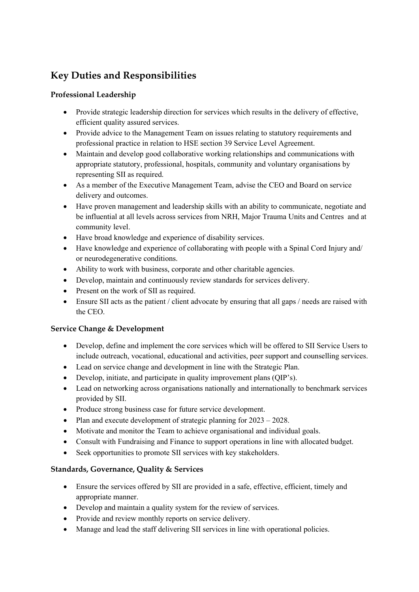# **Key Duties and Responsibilities**

## **Professional Leadership**

- Provide strategic leadership direction for services which results in the delivery of effective, efficient quality assured services.
- Provide advice to the Management Team on issues relating to statutory requirements and professional practice in relation to HSE section 39 Service Level Agreement.
- Maintain and develop good collaborative working relationships and communications with appropriate statutory, professional, hospitals, community and voluntary organisations by representing SII as required.
- As a member of the Executive Management Team, advise the CEO and Board on service delivery and outcomes.
- Have proven management and leadership skills with an ability to communicate, negotiate and be influential at all levels across services from NRH, Major Trauma Units and Centres and at community level.
- Have broad knowledge and experience of disability services.
- Have knowledge and experience of collaborating with people with a Spinal Cord Injury and/ or neurodegenerative conditions.
- Ability to work with business, corporate and other charitable agencies.
- Develop, maintain and continuously review standards for services delivery.
- Present on the work of SII as required.
- Ensure SII acts as the patient / client advocate by ensuring that all gaps / needs are raised with the CEO.

## **Service Change & Development**

- Develop, define and implement the core services which will be offered to SII Service Users to include outreach, vocational, educational and activities, peer support and counselling services.
- Lead on service change and development in line with the Strategic Plan.
- Develop, initiate, and participate in quality improvement plans (QIP's).
- Lead on networking across organisations nationally and internationally to benchmark services provided by SII.
- Produce strong business case for future service development.
- Plan and execute development of strategic planning for  $2023 2028$ .
- Motivate and monitor the Team to achieve organisational and individual goals.
- Consult with Fundraising and Finance to support operations in line with allocated budget.
- Seek opportunities to promote SII services with key stakeholders.

## **Standards, Governance, Quality & Services**

- Ensure the services offered by SII are provided in a safe, effective, efficient, timely and appropriate manner.
- Develop and maintain a quality system for the review of services.
- Provide and review monthly reports on service delivery.
- Manage and lead the staff delivering SII services in line with operational policies.